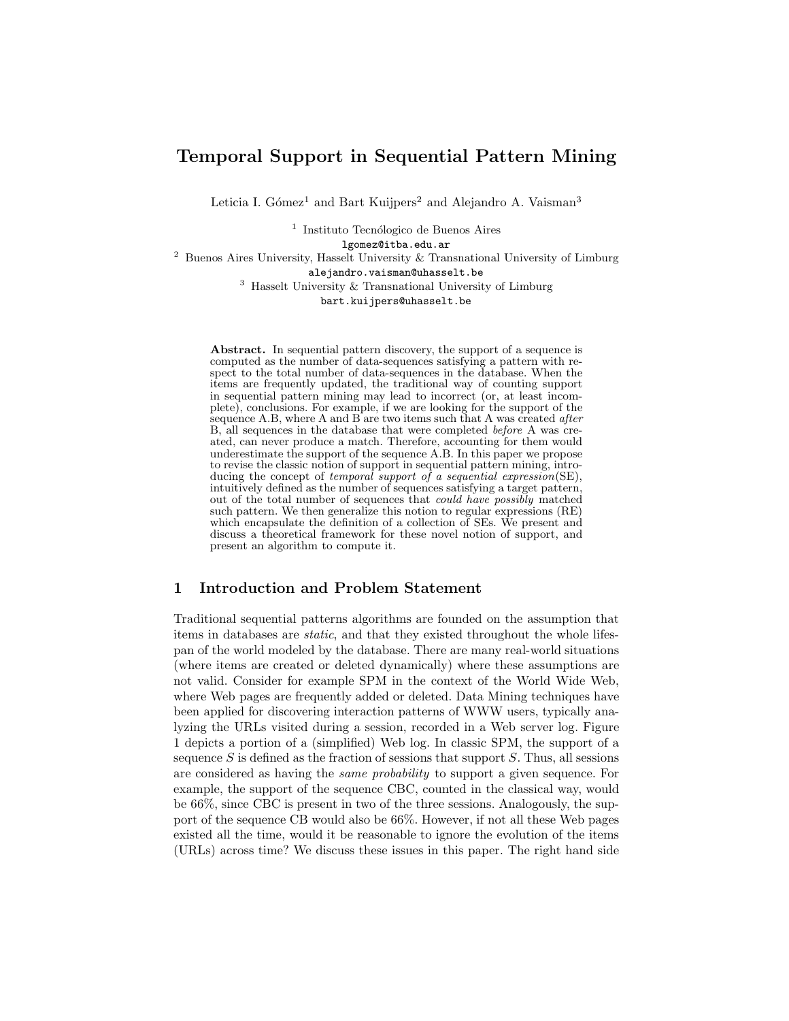# Temporal Support in Sequential Pattern Mining

Leticia I. Gómez<sup>1</sup> and Bart Kuijpers<sup>2</sup> and Alejandro A. Vaisman<sup>3</sup>

<sup>1</sup> Instituto Tecnólogico de Buenos Aires lgomez@itba.edu.ar <sup>2</sup> Buenos Aires University, Hasselt University & Transnational University of Limburg alejandro.vaisman@uhasselt.be  $^3\,$  Hasselt University  $\&$  Transnational University of Limburg bart.kuijpers@uhasselt.be

Abstract. In sequential pattern discovery, the support of a sequence is computed as the number of data-sequences satisfying a pattern with respect to the total number of data-sequences in the database. When the items are frequently updated, the traditional way of counting support in sequential pattern mining may lead to incorrect (or, at least incomplete), conclusions. For example, if we are looking for the support of the sequence A.B, where A and B are two items such that A was created after B, all sequences in the database that were completed before A was created, can never produce a match. Therefore, accounting for them would underestimate the support of the sequence  $A$ .B. In this paper we propose to revise the classic notion of support in sequential pattern mining, introducing the concept of temporal support of a sequential expression(SE), intuitively defined as the number of sequences satisfying a target pattern, out of the total number of sequences that could have possibly matched such pattern. We then generalize this notion to regular expressions (RE) which encapsulate the definition of a collection of SEs. We present and discuss a theoretical framework for these novel notion of support, and present an algorithm to compute it.

# 1 Introduction and Problem Statement

Traditional sequential patterns algorithms are founded on the assumption that items in databases are static, and that they existed throughout the whole lifespan of the world modeled by the database. There are many real-world situations (where items are created or deleted dynamically) where these assumptions are not valid. Consider for example SPM in the context of the World Wide Web, where Web pages are frequently added or deleted. Data Mining techniques have been applied for discovering interaction patterns of WWW users, typically analyzing the URLs visited during a session, recorded in a Web server log. Figure 1 depicts a portion of a (simplified) Web log. In classic SPM, the support of a sequence  $S$  is defined as the fraction of sessions that support  $S$ . Thus, all sessions are considered as having the same probability to support a given sequence. For example, the support of the sequence CBC, counted in the classical way, would be 66%, since CBC is present in two of the three sessions. Analogously, the support of the sequence CB would also be 66%. However, if not all these Web pages existed all the time, would it be reasonable to ignore the evolution of the items (URLs) across time? We discuss these issues in this paper. The right hand side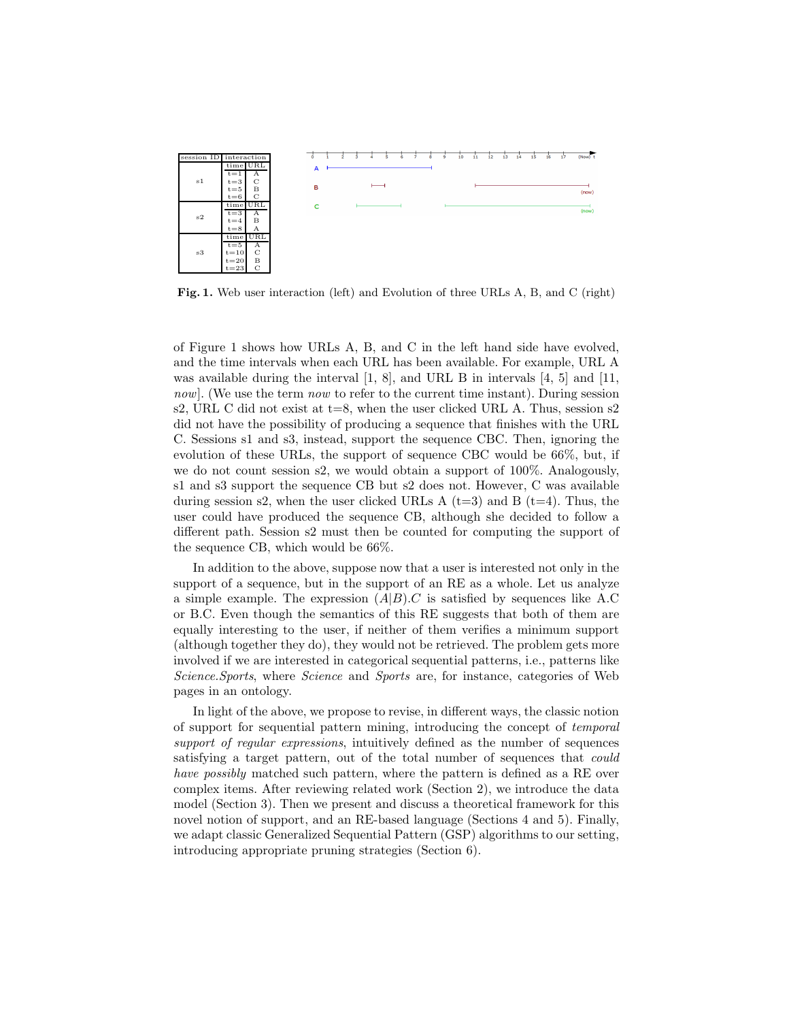

Fig. 1. Web user interaction (left) and Evolution of three URLs A, B, and C (right)

of Figure 1 shows how URLs A, B, and C in the left hand side have evolved, and the time intervals when each URL has been available. For example, URL A was available during the interval [1, 8], and URL B in intervals [4, 5] and [11, now. (We use the term now to refer to the current time instant). During session s2, URL C did not exist at  $t=8$ , when the user clicked URL A. Thus, session s2 did not have the possibility of producing a sequence that finishes with the URL C. Sessions s1 and s3, instead, support the sequence CBC. Then, ignoring the evolution of these URLs, the support of sequence CBC would be 66%, but, if we do not count session s2, we would obtain a support of 100%. Analogously, s1 and s3 support the sequence CB but s2 does not. However, C was available during session s2, when the user clicked URLs A  $(t=3)$  and B  $(t=4)$ . Thus, the user could have produced the sequence CB, although she decided to follow a different path. Session s2 must then be counted for computing the support of the sequence CB, which would be 66%.

In addition to the above, suppose now that a user is interested not only in the support of a sequence, but in the support of an RE as a whole. Let us analyze a simple example. The expression  $(A|B)$ .C is satisfied by sequences like A.C or B.C. Even though the semantics of this RE suggests that both of them are equally interesting to the user, if neither of them verifies a minimum support (although together they do), they would not be retrieved. The problem gets more involved if we are interested in categorical sequential patterns, i.e., patterns like Science.Sports, where Science and Sports are, for instance, categories of Web pages in an ontology.

In light of the above, we propose to revise, in different ways, the classic notion of support for sequential pattern mining, introducing the concept of temporal support of regular expressions, intuitively defined as the number of sequences satisfying a target pattern, out of the total number of sequences that could have possibly matched such pattern, where the pattern is defined as a RE over complex items. After reviewing related work (Section 2), we introduce the data model (Section 3). Then we present and discuss a theoretical framework for this novel notion of support, and an RE-based language (Sections 4 and 5). Finally, we adapt classic Generalized Sequential Pattern (GSP) algorithms to our setting, introducing appropriate pruning strategies (Section 6).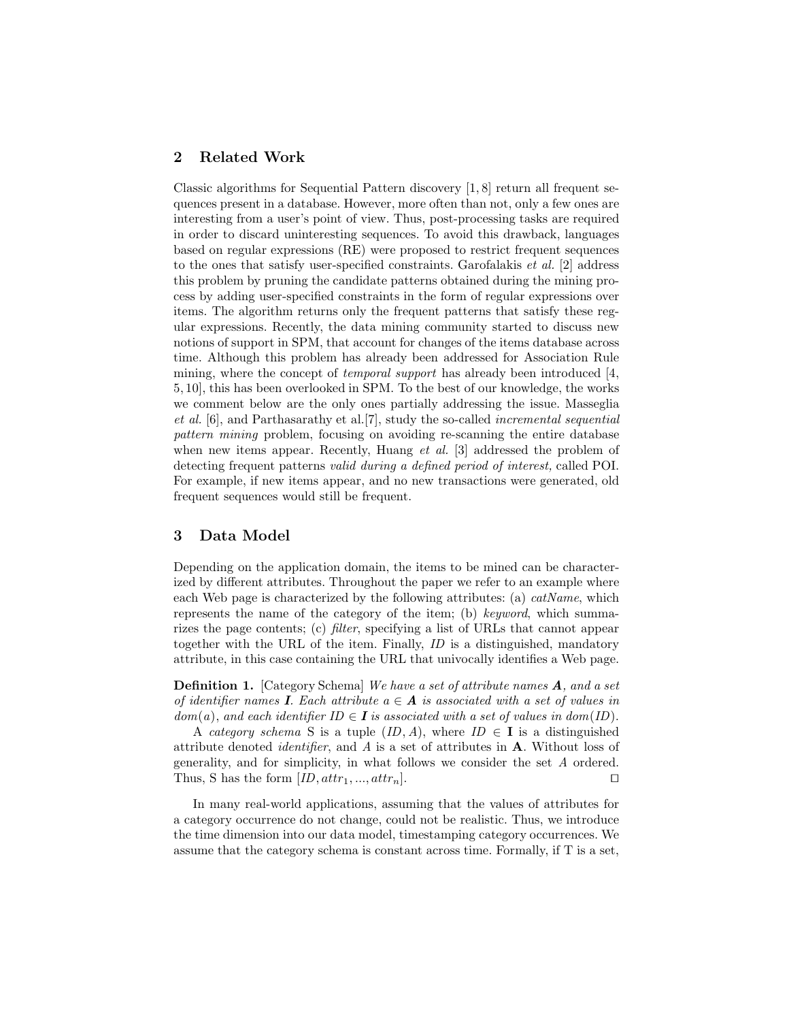# 2 Related Work

Classic algorithms for Sequential Pattern discovery [1, 8] return all frequent sequences present in a database. However, more often than not, only a few ones are interesting from a user's point of view. Thus, post-processing tasks are required in order to discard uninteresting sequences. To avoid this drawback, languages based on regular expressions (RE) were proposed to restrict frequent sequences to the ones that satisfy user-specified constraints. Garofalakis *et al.* [2] address this problem by pruning the candidate patterns obtained during the mining process by adding user-specified constraints in the form of regular expressions over items. The algorithm returns only the frequent patterns that satisfy these regular expressions. Recently, the data mining community started to discuss new notions of support in SPM, that account for changes of the items database across time. Although this problem has already been addressed for Association Rule mining, where the concept of *temporal support* has already been introduced [4, 5, 10], this has been overlooked in SPM. To the best of our knowledge, the works we comment below are the only ones partially addressing the issue. Masseglia et al. [6], and Parthasarathy et al.[7], study the so-called incremental sequential pattern mining problem, focusing on avoiding re-scanning the entire database when new items appear. Recently, Huang *et al.* [3] addressed the problem of detecting frequent patterns valid during a defined period of interest, called POI. For example, if new items appear, and no new transactions were generated, old frequent sequences would still be frequent.

# 3 Data Model

Depending on the application domain, the items to be mined can be characterized by different attributes. Throughout the paper we refer to an example where each Web page is characterized by the following attributes: (a)  $catName$ , which represents the name of the category of the item; (b) keyword, which summarizes the page contents; (c) filter, specifying a list of URLs that cannot appear together with the URL of the item. Finally, ID is a distinguished, mandatory attribute, in this case containing the URL that univocally identifies a Web page.

Definition 1. [Category Schema] We have a set of attribute names A, and a set of identifier names **I**. Each attribute  $a \in \mathbf{A}$  is associated with a set of values in  $dom(a)$ , and each identifier  $ID \in I$  is associated with a set of values in  $dom(ID)$ .

A category schema S is a tuple  $(ID, A)$ , where  $ID \in I$  is a distinguished attribute denoted *identifier*, and  $\vec{A}$  is a set of attributes in  $\vec{A}$ . Without loss of generality, and for simplicity, in what follows we consider the set A ordered. Thus, S has the form  $[ID, attr_1, ..., attr_n]$ . □

In many real-world applications, assuming that the values of attributes for a category occurrence do not change, could not be realistic. Thus, we introduce the time dimension into our data model, timestamping category occurrences. We assume that the category schema is constant across time. Formally, if T is a set,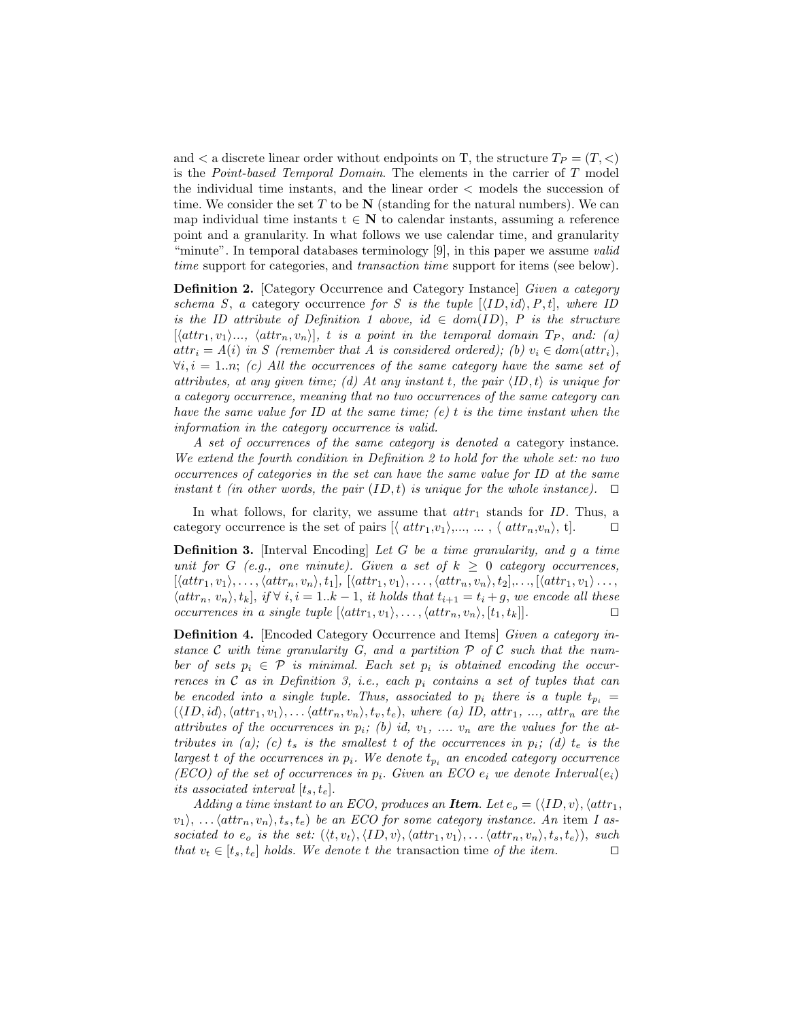and  $\lt$  a discrete linear order without endpoints on T, the structure  $T_P = (T, \lt)$ is the Point-based Temporal Domain. The elements in the carrier of T model the individual time instants, and the linear order < models the succession of time. We consider the set T to be  $N$  (standing for the natural numbers). We can map individual time instants  $t \in N$  to calendar instants, assuming a reference point and a granularity. In what follows we use calendar time, and granularity "minute". In temporal databases terminology [9], in this paper we assume *valid* time support for categories, and transaction time support for items (see below).

Definition 2. [Category Occurrence and Category Instance] Given a category schema S, a category occurrence for S is the tuple  $[\langle ID, id \rangle, P, t]$ , where ID is the ID attribute of Definition 1 above, id  $\in dom(ID), P$  is the structure  $[\langle attr_1, v_1 \rangle ..., \langle attr_n, v_n \rangle], t$  is a point in the temporal domain  $T_P$ , and: (a)  $attr_i = A(i)$  in S (remember that A is considered ordered); (b)  $v_i \in dom(aitr_i)$ ,  $\forall i, i = 1..n;$  (c) All the occurrences of the same category have the same set of attributes, at any given time; (d) At any instant t, the pair  $\langle ID, t \rangle$  is unique for a category occurrence, meaning that no two occurrences of the same category can have the same value for ID at the same time; (e) t is the time instant when the information in the category occurrence is valid.

A set of occurrences of the same category is denoted a category instance. We extend the fourth condition in Definition 2 to hold for the whole set: no two occurrences of categories in the set can have the same value for ID at the same instant t (in other words, the pair  $(ID, t)$  is unique for the whole instance). □

In what follows, for clarity, we assume that  $attr_1$  stands for ID. Thus, a category occurrence is the set of pairs  $[\langle \text{attr}_1, v_1 \rangle, \ldots, \ldots, \langle \text{attr}_n, v_n \rangle, t].$  □

**Definition 3.** [Interval Encoding] Let G be a time granularity, and g a time unit for G (e.g., one minute). Given a set of  $k \geq 0$  category occurrences,  $[\langle attr_1, v_1 \rangle, \ldots, \langle attr_n, v_n \rangle, t_1], [\langle attr_1, v_1 \rangle, \ldots, \langle attr_n, v_n \rangle, t_2], \ldots, [\langle attr_1, v_1 \rangle, \ldots,$  $\langle \text{attr}_n, v_n \rangle, t_k], \text{ if } \forall i, i = 1..k-1, \text{ it holds that } t_{i+1} = t_i + g, \text{ we encode all these}$ occurrences in a single tuple  $[\langle attr_1, v_1 \rangle, \ldots, \langle attr_n, v_n \rangle, [t_1, t_k]].$ 

Definition 4. [Encoded Category Occurrence and Items] Given a category instance C with time granularity G, and a partition  $P$  of C such that the number of sets  $p_i \in \mathcal{P}$  is minimal. Each set  $p_i$  is obtained encoding the occurrences in  $C$  as in Definition 3, i.e., each  $p_i$  contains a set of tuples that can be encoded into a single tuple. Thus, associated to  $p_i$  there is a tuple  $t_{p_i} =$  $(\langle ID, id \rangle, \langle attr_1, v_1 \rangle, \ldots, \langle attr_n, v_n \rangle, t_v, t_e),$  where (a) ID, attr<sub>1</sub>, ..., attr<sub>n</sub> are the attributes of the occurrences in  $p_i$ ; (b) id,  $v_1$ , ....  $v_n$  are the values for the attributes in (a); (c)  $t_s$  is the smallest t of the occurrences in  $p_i$ ; (d)  $t_e$  is the largest t of the occurrences in  $p_i$ . We denote  $t_{p_i}$  an encoded category occurrence  $(ECO)$  of the set of occurrences in  $p_i$ . Given an ECO  $e_i$  we denote Interval $(e_i)$ its associated interval  $[t_s, t_e]$ .

Adding a time instant to an ECO, produces an **Item**. Let  $e_o = (\langle ID, v \rangle, \langle attr_1,$  $\langle v_1 \rangle, \ldots \langle \textit{attr}_n, v_n \rangle, t_s, t_e)$  be an ECO for some category instance. An item I associated to  $e_o$  is the set:  $(\langle t, v_t \rangle, \langle ID, v \rangle, \langle attr_1, v_1 \rangle, \ldots, \langle attr_n, v_n \rangle, t_s, t_e \rangle),$  such that  $v_t \in [t_s, t_e]$  holds. We denote t the transaction time of the item. □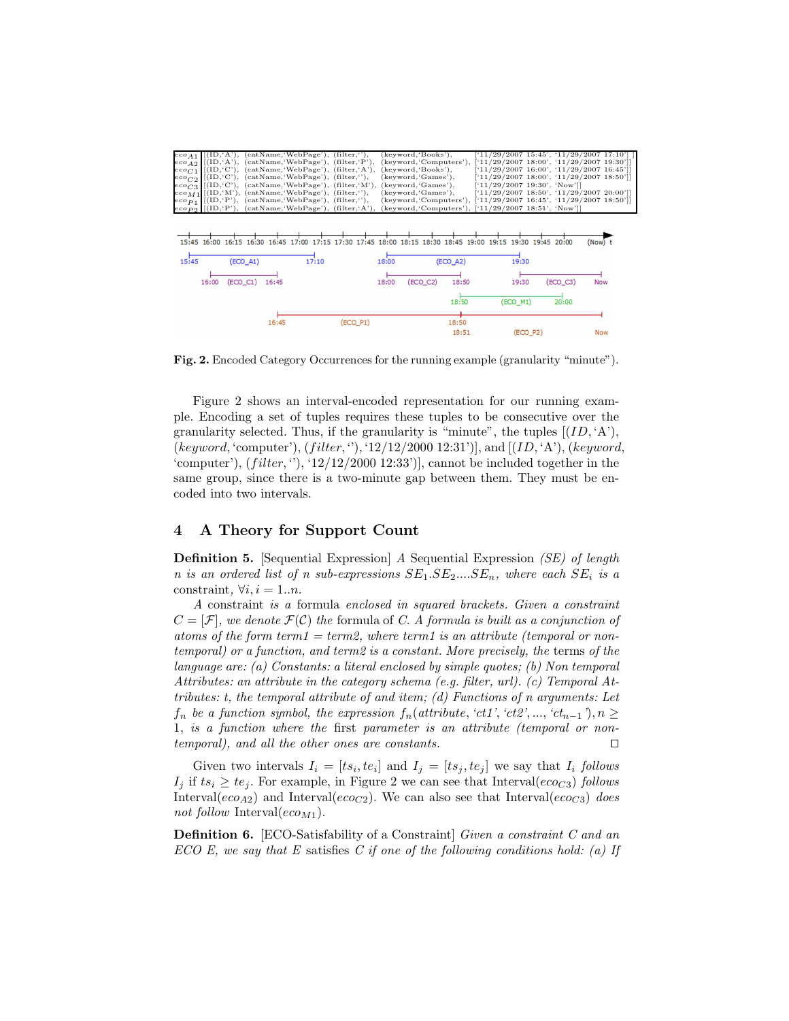|  | $e \circ \rho_{1}$ [(ID, 'A'), (catName, 'WebPage'), (filter, ''), (keyword, 'Books'), |                                                      | $[11/29/2007 15:45', 11/29/2007 17:10']$                                                                                      |
|--|----------------------------------------------------------------------------------------|------------------------------------------------------|-------------------------------------------------------------------------------------------------------------------------------|
|  |                                                                                        |                                                      | $ e\circ A_2 $ [(ID,'A'), (catName,'WebPage'), (filter,'P'), (keyword,'Computers'), ['11/29/2007 18:00', '11/29/2007 19:30']] |
|  | $eco_{C1}$ [(ID, C'), (catName, WebPage'), (filter, A'), (keyword, 'Books'),           |                                                      | $[11/29/2007 16:00', 11/29/2007 16:45']$                                                                                      |
|  | $eco_{C2}$ [(ID, C'), (catName, WebPage'), (filter, ''), (keyword, 'Games'),           |                                                      | $[11/29/2007 18:00', 11/29/2007 18:50']$                                                                                      |
|  | $eco_{C3}$ [(ID, C'), (catName, WebPage'), (filter, M'), (keyword, Games'),            |                                                      | [11/29/2007 19:30', 'Now']                                                                                                    |
|  | $e \circ M_1$ [(ID, 'M'), (catName, 'WebPage'), (filter, ''), (keyword, 'Games'),      |                                                      | $[11/29/2007 18:50', 11/29/2007 20:00']$                                                                                      |
|  | $ e\cos p_1 $ $[(ID, 'P'), (catName, 'WebPage'), (filter, ''),$                        |                                                      | (keyword, 'Computers'), ['11/29/2007 16:45', '11/29/2007 18:50']]                                                             |
|  | $eco_{PQ}$ [(ID, P'), (catName, WebPage'), (filter, 'A'),                              | (keyword, 'Computers'), ['11/29/2007 18:51', 'Now']] |                                                                                                                               |

15:45 16:00 16:15 16:30 16:45 17:00 17:15 17:30 17:45 18:00 18:15 18:30 18:45 19:00 19:15 19:30 19:45 20:00  $(Now)$ <sub>t</sub>

| 15:45 | $(EOO_A1)$     |       | 17:10 |            | 18:00 |            | $(EOO_A2)$     | 19:30      |            |            |
|-------|----------------|-------|-------|------------|-------|------------|----------------|------------|------------|------------|
| 16:00 | (ECO_C1) 16:45 |       |       |            | 18:00 | $(ECO_C2)$ | 18:50          | 19:30      | $(ECO_C3)$ | <b>Now</b> |
|       |                |       |       |            |       |            | 18:50          | (ECO_M1)   | 20:00      |            |
|       |                | 16:45 |       | $(ECO_P1)$ |       |            | 18:50<br>18:51 | $(ECO_P2)$ |            | <b>Now</b> |

Fig. 2. Encoded Category Occurrences for the running example (granularity "minute").

Figure 2 shows an interval-encoded representation for our running example. Encoding a set of tuples requires these tuples to be consecutive over the granularity selected. Thus, if the granularity is "minute", the tuples  $[(ID, 'A'),$ (keyword, 'computer'),  $(filter, '')$ , '12/12/2000 12:31')], and  $[(ID, 'A'), (keyword, '$ 'computer'),  $(filter, '')$ , ' $12/12/2000$  12:33')], cannot be included together in the same group, since there is a two-minute gap between them. They must be encoded into two intervals.

# 4 A Theory for Support Count

Definition 5. [Sequential Expression] A Sequential Expression (SE) of length n is an ordered list of n sub-expressions  $SE_1 \t, SE_2 \t, \t, SE_n$ , where each  $SE_i$  is a constraint,  $\forall i, i = 1..n$ .

A constraint is a formula enclosed in squared brackets. Given a constraint  $C = [\mathcal{F}]$ , we denote  $\mathcal{F}(\mathcal{C})$  the formula of C. A formula is built as a conjunction of atoms of the form term1 = term2, where term1 is an attribute (temporal or nontemporal) or a function, and term2 is a constant. More precisely, the terms of the language are: (a) Constants: a literal enclosed by simple quotes; (b) Non temporal Attributes: an attribute in the category schema (e.g. filter, url). (c) Temporal Attributes: t, the temporal attribute of and item; (d) Functions of n arguments: Let  $f_n$  be a function symbol, the expression  $f_n(attribute, 'ct1', 'ct2', ..., 'ct_{n-1}'), n \geq$ 1, is a function where the first parameter is an attribute (temporal or nontemporal), and all the other ones are constants. ⊓⊔

Given two intervals  $I_i = [ts_i, te_i]$  and  $I_j = [ts_j, te_j]$  we say that  $I_i$  follows  $I_j$  if  $ts_i \geq te_j$ . For example, in Figure 2 we can see that Interval( $e\epsilon_0$ ) follows Interval( $e_{CO_42}$ ) and Interval( $e_{CO_42}$ ). We can also see that Interval( $e_{CO_42}$ ) does not follow Interval( $e_{\text{CO}_M1}$ ).

Definition 6. [ECO-Satisfability of a Constraint] Given a constraint C and an ECO E, we say that E satisfies C if one of the following conditions hold: (a) If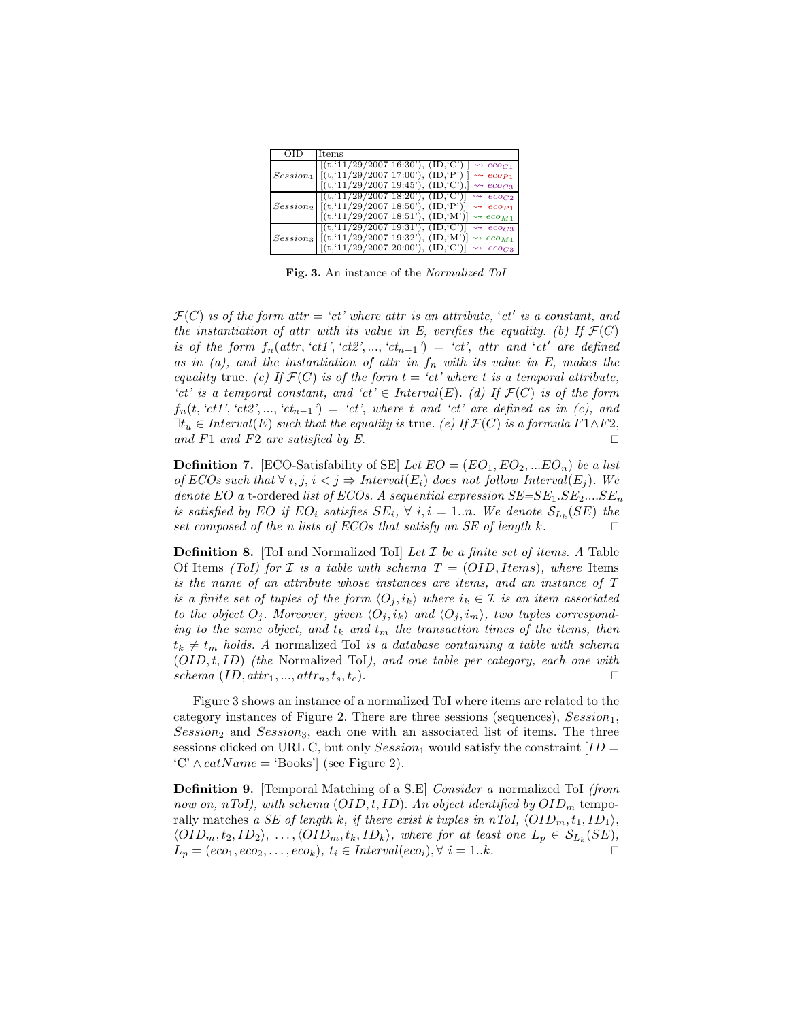| Items                                                                                    |
|------------------------------------------------------------------------------------------|
| $\vert$ [(t, '11/29/2007 16:30'), (ID, 'C')<br>$\rightsquigarrow$ eco <sub>C1</sub>      |
| $Session_1$ $[(t, 11/29/2007 17:00'), (ID, P')]$<br>$\rightsquigarrow$ eco <sub>P1</sub> |
| [(t, 11/29/2007 19.45), (ID, C'),]<br>$\rightsquigarrow$ ecoc <sub>3</sub>               |
| $\left[ \left[ (t, 11/29/2007 \ 18.20), (ID, C) \right] \rightsquigarrow e_{C_2}$        |
| $Session_2$ [(t, '11/29/2007 18:50'), (ID, 'P')] $\rightarrow eco_{P1}$                  |
| $[(t, 11/29/2007 \ 18.51'), (ID, W')] \rightsquigarrow eco_{M1}$                         |
| $[(t, 11/29/2007 19.31'), (ID, C')] \rightsquigarrow e_{C}$                              |
| $Session_3$ [(t,'11/29/2007 19:32'), (ID,'M')] $\rightsquigarrow eco_{M1}$               |
| $[(t, 11/29/2007 \ 20.00), (ID, C')] \rightsquigarrow e\cos$                             |

Fig. 3. An instance of the Normalized ToI

 $\mathcal{F}(C)$  is of the form attr = 'ct' where attr is an attribute, 'ct' is a constant, and the instantiation of attr with its value in E, verifies the equality. (b) If  $\mathcal{F}(C)$ is of the form  $f_n(attr, 'ct1', 'ct2', ..., 'ct_{n-1'}) = 'ct', attr \ and 'ct' \ are \ defined$ as in (a), and the instantiation of attr in  $f_n$  with its value in E, makes the equality true. (c) If  $\mathcal{F}(C)$  is of the form  $t = 'ct'$  where t is a temporal attribute, 'ct' is a temporal constant, and 'ct'  $\in$  Interval(E). (d) If  $\mathcal{F}(C)$  is of the form  $f_n(t, 'ct1', 'ct2', ..., 'ct_{n-1}) = 'ct',$  where t and 'ct' are defined as in (c), and  $\exists t_u \in Interval(E)$  such that the equality is true. (e) If  $\mathcal{F}(C)$  is a formula  $F1 \wedge F2$ , and F1 and F2 are satisfied by E. □

**Definition 7.** [ECO-Satisfability of SE] Let  $EO = (EO_1, EO_2, ... EO_n)$  be a list of ECOs such that  $\forall i, j, i < j \Rightarrow Interval(E_i)$  does not follow Interval $(E_j)$ . We denote EO a t-ordered list of ECOs. A sequential expression  $SE = SE_1 \cdot SE_2 \dots \cdot SE_n$ is satisfied by EO if EO<sub>i</sub> satisfies  $SE_i$ ,  $\forall$  i,  $i = 1..n$ . We denote  $\mathcal{S}_{L_k}(SE)$  the set composed of the n lists of ECOs that satisfy an SE of length k. □

**Definition 8.** [ToI and Normalized ToI] Let  $I$  be a finite set of items. A Table Of Items (ToI) for *I* is a table with schema  $T = (OID, Items)$ , where Items is the name of an attribute whose instances are items, and an instance of T is a finite set of tuples of the form  $\langle O_i, i_k \rangle$  where  $i_k \in \mathcal{I}$  is an item associated to the object  $O_i$ . Moreover, given  $\langle O_i , i_k \rangle$  and  $\langle O_i , i_m \rangle$ , two tuples corresponding to the same object, and  $t_k$  and  $t_m$  the transaction times of the items, then  $t_k \neq t_m$  holds. A normalized ToI is a database containing a table with schema  $(OID, t, ID)$  (the Normalized ToI), and one table per category, each one with schema (ID, att $r_1, ..., \text{attr}_n, t_s, t_e$ ). □

Figure 3 shows an instance of a normalized ToI where items are related to the category instances of Figure 2. There are three sessions (sequences),  $Session<sub>1</sub>$ ,  $Session_2$  and  $Session_3$ , each one with an associated list of items. The three sessions clicked on URL C, but only  $Session_1$  would satisfy the constraint  $ID =$  $\langle C' \wedge catName = 'Books' \rangle$  (see Figure 2).

**Definition 9.** [Temporal Matching of a S.E] *Consider a* normalized ToI *(from*) now on, nToI), with schema  $(OID, t, ID)$ . An object identified by  $OID<sub>m</sub>$  temporally matches a SE of length k, if there exist k tuples in nToI,  $\langle OD_m, t_1, ID_1 \rangle$ ,  $\langle OID_m, t_2, ID_2 \rangle, \ldots, \langle OID_m, t_k, ID_k \rangle,$  where for at least one  $L_p \in S_{L_k}(SE),$  $L_p = (eco_1, eco_2, \ldots, eco_k), t_i \in Interval(eco_i), \forall i = 1..k.$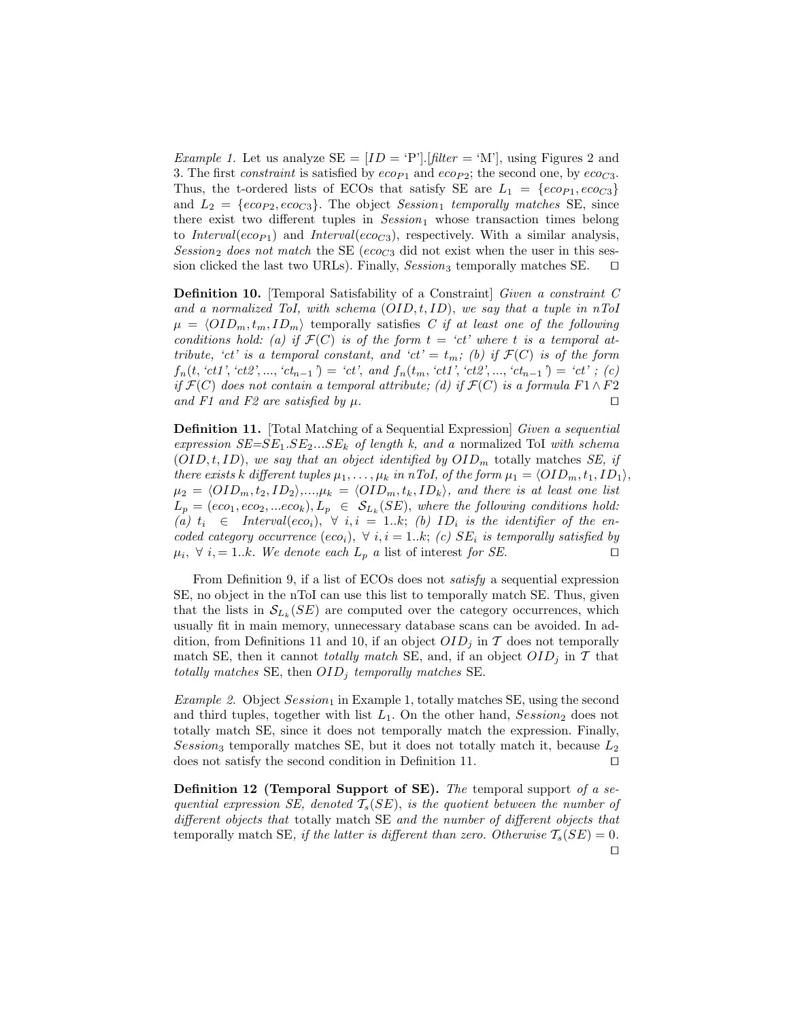*Example 1.* Let us analyze  $SE = [ID = 'P']$ . [filter = 'M'], using Figures 2 and 3. The first *constraint* is satisfied by  $e_{CPP1}$  and  $e_{CPP2}$ ; the second one, by  $e_{CQ3}$ . Thus, the t-ordered lists of ECOs that satisfy SE are  $L_1 = \{eco_{P1}, eco_{C3}\}\$ and  $L_2 = \{e\nco_{P2}, e\nco_{C3}\}\.$  The object Session<sub>1</sub> temporally matches SE, since there exist two different tuples in  $Session_1$  whose transaction times belong to Interval(eco<sub>P1</sub>) and Interval(eco<sub>C3</sub>), respectively. With a similar analysis, Session<sub>2</sub> does not match the SE (eco<sub>C3</sub> did not exist when the user in this session clicked the last two URLs). Finally, Session<sub>3</sub> temporally matches SE.  $□$ 

Definition 10. [Temporal Satisfability of a Constraint] Given a constraint C and a normalized ToI, with schema  $(OID, t, ID)$ , we say that a tuple in nToI  $\mu = \langle OID_m, t_m, ID_m \rangle$  temporally satisfies C if at least one of the following conditions hold: (a) if  $\mathcal{F}(C)$  is of the form  $t = 'ct'$  where t is a temporal attribute, 'ct' is a temporal constant, and 'ct' =  $t_m$ ; (b) if  $\mathcal{F}(C)$  is of the form  $f_n(t, 'ct1', 'ct2', ..., 'ct_{n-1'}) = 'ct', and f_n(t_m, 'ct1', 'ct2', ..., 'ct_{n-1'}) = 'ct'; (c)$ if  $\mathcal{F}(C)$  does not contain a temporal attribute; (d) if  $\mathcal{F}(C)$  is a formula  $F1 \wedge F2$ and F1 and F2 are satisfied by  $\mu$ . □

Definition 11. [Total Matching of a Sequential Expression] Given a sequential expression  $SE = SE_1 \t . SE_2 \t . . . SE_k$  of length k, and a normalized ToI with schema  $(OLD, t, ID)$ , we say that an object identified by  $OLD_m$  totally matches SE, if there exists k different tuples  $\mu_1, \ldots, \mu_k$  in nToI, of the form  $\mu_1 = \langle OID_m, t_1, ID_1 \rangle$ ,  $\mu_2 = \langle OID_m, t_2, ID_2 \rangle, ..., \mu_k = \langle OID_m, t_k, ID_k \rangle$ , and there is at least one list  $L_p = (eco_1, eco_2, ...eco_k), L_p \in S_{L_k}(SE)$ , where the following conditions hold: (a)  $t_i \in Interval(eco_i), \forall i, i = 1..k;$  (b) ID<sub>i</sub> is the identifier of the encoded category occurrence (eco<sub>i</sub>),  $\forall i, i = 1..k; (c) SE_i$  is temporally satisfied by  $\mu_i, \forall i, = 1..k.$  We denote each  $L_p$  a list of interest for SE. □

From Definition 9, if a list of ECOs does not *satisfy* a sequential expression SE, no object in the nToI can use this list to temporally match SE. Thus, given that the lists in  $\mathcal{S}_{L_k}(SE)$  are computed over the category occurrences, which usually fit in main memory, unnecessary database scans can be avoided. In addition, from Definitions 11 and 10, if an object  $OID<sub>j</sub>$  in T does not temporally match SE, then it cannot *totally match* SE, and, if an object  $OID_i$  in T that totally matches SE, then  $OID_i$  temporally matches SE.

*Example 2.* Object  $Session_1$  in Example 1, totally matches SE, using the second and third tuples, together with list  $L_1$ . On the other hand, Session<sub>2</sub> does not totally match SE, since it does not temporally match the expression. Finally, Session<sub>3</sub> temporally matches SE, but it does not totally match it, because  $L_2$ does not satisfy the second condition in Definition 11. ⊓⊔

**Definition 12 (Temporal Support of SE).** The temporal support of a sequential expression SE, denoted  $T_s(SE)$ , is the quotient between the number of different objects that totally match SE and the number of different objects that temporally match SE, if the latter is different than zero. Otherwise  $T_s(SE) = 0$ . ⊓⊔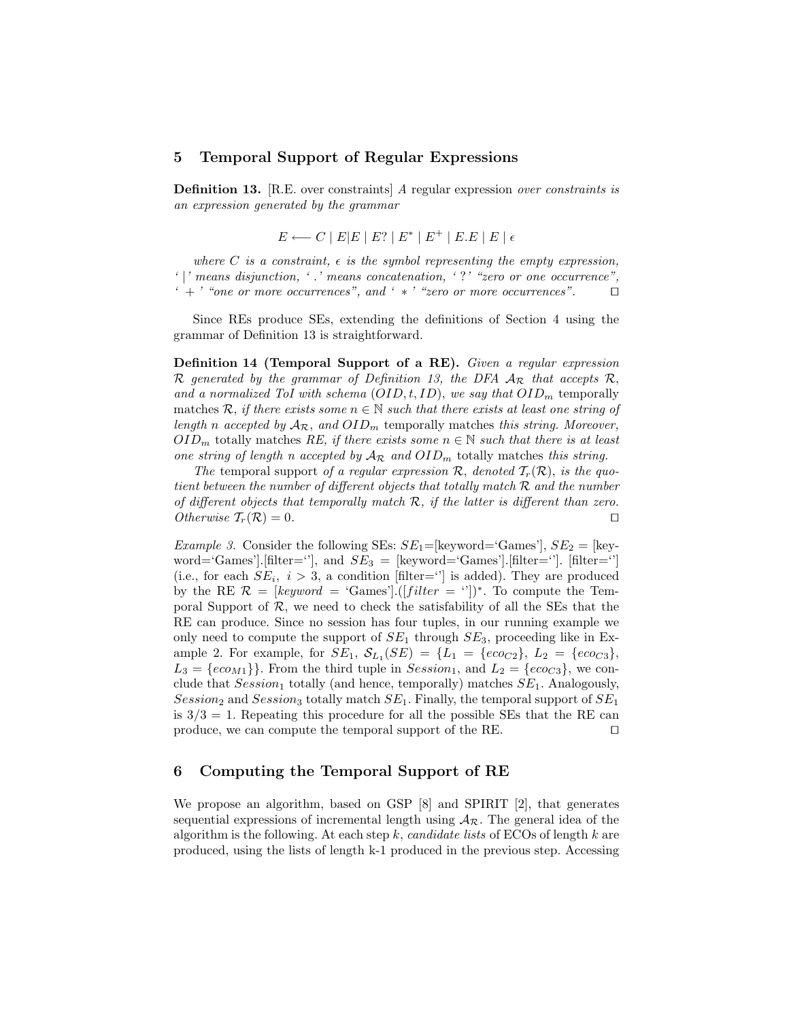#### 5 Temporal Support of Regular Expressions

Definition 13. [R.E. over constraints] A regular expression over constraints is an expression generated by the grammar

$$
E \longleftarrow C \mid E | E \mid E? \mid E^* \mid E^+ \mid E.E \mid E \mid \epsilon
$$

where C is a constraint,  $\epsilon$  is the symbol representing the empty expression, ' |' means disjunction, ' .' means concatenation, ' ?' "zero or one occurrence",  $\cdot +$  ' "one or more occurrences", and '  $*$  ' "zero or more occurrences". □

Since REs produce SEs, extending the definitions of Section 4 using the grammar of Definition 13 is straightforward.

Definition 14 (Temporal Support of a RE). Given a regular expression R generated by the grammar of Definition 13, the DFA  $A_{\mathcal{R}}$  that accepts R, and a normalized ToI with schema  $(OID, t, ID)$ , we say that  $OID<sub>m</sub>$  temporally matches R, if there exists some  $n \in \mathbb{N}$  such that there exists at least one string of length n accepted by  $A_{\mathcal{R}}$ , and  $OID_m$  temporally matches this string. Moreover,  $OLD_m$  totally matches RE, if there exists some  $n \in \mathbb{N}$  such that there is at least one string of length n accepted by  $A_{\mathcal{R}}$  and  $OID_m$  totally matches this string.

The temporal support of a regular expression  $\mathcal{R}$ , denoted  $\mathcal{T}_r(\mathcal{R})$ , is the quotient between the number of different objects that totally match R and the number of different objects that temporally match  $R$ , if the latter is different than zero. Otherwise  $T_r(\mathcal{R}) = 0$ . □

*Example 3.* Consider the following SEs:  $SE_1 = [keyword = 'Games'], SE_2 = [key$ word='Games'].[filter=''], and  $SE_3$  = [keyword='Games'].[filter='']. [filter=''] (i.e., for each  $SE_i$ ,  $i > 3$ , a condition [filter="] is added). They are produced by the RE  $\mathcal{R} = [keyword = 'Games'] \cdot ([filter = '')]^*$ . To compute the Temporal Support of  $\mathcal{R}$ , we need to check the satisfability of all the SEs that the RE can produce. Since no session has four tuples, in our running example we only need to compute the support of  $SE_1$  through  $SE_3$ , proceeding like in Example 2. For example, for  $SE_1$ ,  $S_{L_1}(SE) = \{L_1 = \{eco_{C2}\}, L_2 = \{eco_{C3}\}\,$  $L_3 = \{e \in C_{M1}\}\.$  From the third tuple in  $Session_1$ , and  $L_2 = \{e \in C_{3}\}\.$  we conclude that  $Session_1$  totally (and hence, temporally) matches  $SE_1$ . Analogously, Session<sub>2</sub> and Session<sub>3</sub> totally match  $SE_1$ . Finally, the temporal support of  $SE_1$ is  $3/3 = 1$ . Repeating this procedure for all the possible SEs that the RE can produce, we can compute the temporal support of the RE. □

## 6 Computing the Temporal Support of RE

We propose an algorithm, based on GSP [8] and SPIRIT [2], that generates sequential expressions of incremental length using  $A_{\mathcal{R}}$ . The general idea of the algorithm is the following. At each step  $k$ , *candidate lists* of ECOs of length  $k$  are produced, using the lists of length k-1 produced in the previous step. Accessing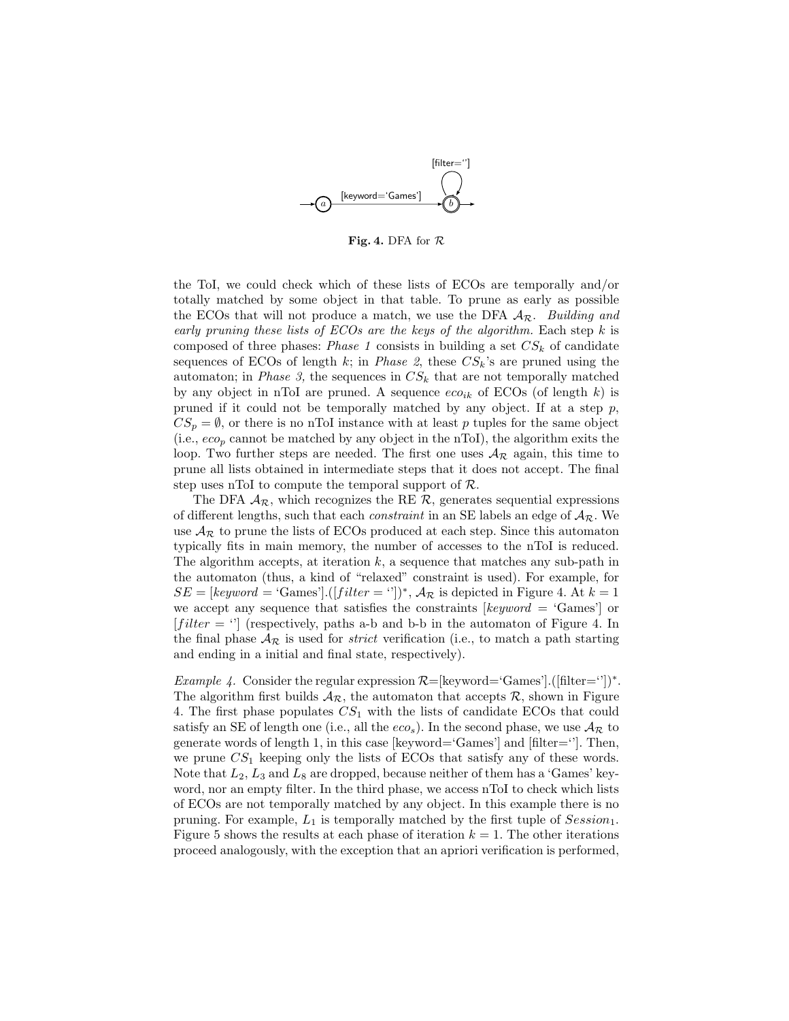

Fig. 4. DFA for  $R$ 

the ToI, we could check which of these lists of ECOs are temporally and/or totally matched by some object in that table. To prune as early as possible the ECOs that will not produce a match, we use the DFA  $A_{\mathcal{R}}$ . Building and early pruning these lists of  $ECOs$  are the keys of the algorithm. Each step k is composed of three phases: Phase 1 consists in building a set  $CS_k$  of candidate sequences of ECOs of length k; in *Phase 2*, these  $CS_k$ 's are pruned using the automaton; in *Phase 3*, the sequences in  $CS_k$  that are not temporally matched by any object in nToI are pruned. A sequence  $e\alpha_{ik}$  of ECOs (of length k) is pruned if it could not be temporally matched by any object. If at a step  $p$ ,  $CS_p = \emptyset$ , or there is no nToI instance with at least p tuples for the same object (i.e.,  $e_{\mathcal{O}_p}$  cannot be matched by any object in the nToI), the algorithm exits the loop. Two further steps are needed. The first one uses  $A_{\mathcal{R}}$  again, this time to prune all lists obtained in intermediate steps that it does not accept. The final step uses nToI to compute the temporal support of  $\mathcal{R}$ .

The DFA  $A_{\mathcal{R}}$ , which recognizes the RE  $\mathcal{R}$ , generates sequential expressions of different lengths, such that each *constraint* in an SE labels an edge of  $A_{\mathcal{R}}$ . We use  $A_{\mathcal{R}}$  to prune the lists of ECOs produced at each step. Since this automaton typically fits in main memory, the number of accesses to the nToI is reduced. The algorithm accepts, at iteration  $k$ , a sequence that matches any sub-path in the automaton (thus, a kind of "relaxed" constraint is used). For example, for  $SE = [keyword = 'Games'] \cdot ([filter = '')]^*$ ,  $\mathcal{A}_{\mathcal{R}}$  is depicted in Figure 4. At  $k = 1$ we accept any sequence that satisfies the constraints  $\lbrack keyword = 'Games']$  or  $[filter = \cdot']$  (respectively, paths a-b and b-b in the automaton of Figure 4. In the final phase  $A_{\mathcal{R}}$  is used for *strict* verification (i.e., to match a path starting and ending in a initial and final state, respectively).

*Example 4.* Consider the regular expression  $\mathcal{R}=[\text{keyword}=\text{Games}']$ .([filter=''])<sup>\*</sup>. The algorithm first builds  $A_{\mathcal{R}}$ , the automaton that accepts  $\mathcal{R}$ , shown in Figure 4. The first phase populates  $CS<sub>1</sub>$  with the lists of candidate ECOs that could satisfy an SE of length one (i.e., all the  $eco_s$ ). In the second phase, we use  $A_{\mathcal{R}}$  to generate words of length 1, in this case [keyword='Games'] and [filter='']. Then, we prune  $CS<sub>1</sub>$  keeping only the lists of ECOs that satisfy any of these words. Note that  $L_2, L_3$  and  $L_8$  are dropped, because neither of them has a 'Games' keyword, nor an empty filter. In the third phase, we access nToI to check which lists of ECOs are not temporally matched by any object. In this example there is no pruning. For example,  $L_1$  is temporally matched by the first tuple of  $Session_1$ . Figure 5 shows the results at each phase of iteration  $k = 1$ . The other iterations proceed analogously, with the exception that an apriori verification is performed,